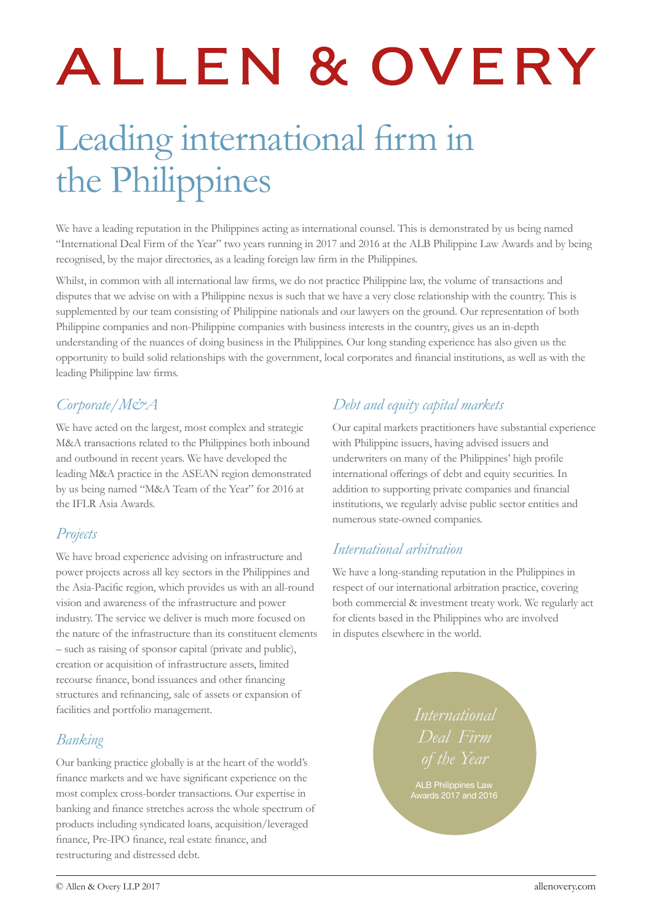# ALLEN & OVERY

# Leading international firm in the Philippines

We have a leading reputation in the Philippines acting as international counsel. This is demonstrated by us being named "International Deal Firm of the Year" two years running in 2017 and 2016 at the ALB Philippine Law Awards and by being recognised, by the major directories, as a leading foreign law firm in the Philippines.

Whilst, in common with all international law firms, we do not practice Philippine law, the volume of transactions and disputes that we advise on with a Philippine nexus is such that we have a very close relationship with the country. This is supplemented by our team consisting of Philippine nationals and our lawyers on the ground. Our representation of both Philippine companies and non-Philippine companies with business interests in the country, gives us an in-depth understanding of the nuances of doing business in the Philippines. Our long standing experience has also given us the opportunity to build solid relationships with the government, local corporates and financial institutions, as well as with the leading Philippine law firms.

# *Corporate/M&A*

We have acted on the largest, most complex and strategic M&A transactions related to the Philippines both inbound and outbound in recent years. We have developed the leading M&A practice in the ASEAN region demonstrated by us being named "M&A Team of the Year" for 2016 at the IFLR Asia Awards.

# *Projects*

We have broad experience advising on infrastructure and power projects across all key sectors in the Philippines and the Asia-Pacific region, which provides us with an all-round vision and awareness of the infrastructure and power industry. The service we deliver is much more focused on the nature of the infrastructure than its constituent elements – such as raising of sponsor capital (private and public), creation or acquisition of infrastructure assets, limited recourse finance, bond issuances and other financing structures and refinancing, sale of assets or expansion of facilities and portfolio management.

# *Banking*

Our banking practice globally is at the heart of the world's finance markets and we have significant experience on the most complex cross-border transactions. Our expertise in banking and finance stretches across the whole spectrum of products including syndicated loans, acquisition/leveraged finance, Pre-IPO finance, real estate finance, and restructuring and distressed debt.

# *Debt and equity capital markets*

Our capital markets practitioners have substantial experience with Philippine issuers, having advised issuers and underwriters on many of the Philippines' high profile international offerings of debt and equity securities. In addition to supporting private companies and financial institutions, we regularly advise public sector entities and numerous state-owned companies.

# *International arbitration*

We have a long-standing reputation in the Philippines in respect of our international arbitration practice, covering both commercial & investment treaty work. We regularly act for clients based in the Philippines who are involved in disputes elsewhere in the world.

> *International Deal Firm*

Awards 2017 and 2016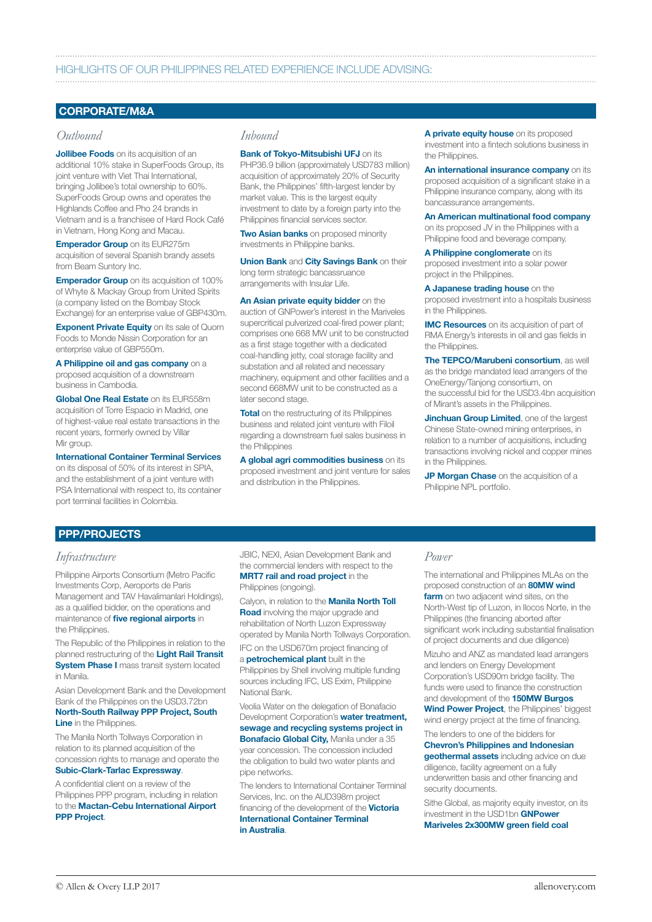# HIGHLIGHTS OF OUR PHILIPPINES RELATED EXPERIENCE INCLUDE ADVISING:

# CORPORATE/M&A

# *Outbound*

**Jollibee Foods** on its acquisition of an additional 10% stake in SuperFoods Group, its joint venture with Viet Thai International, bringing Jollibee's total ownership to 60%. SuperFoods Group owns and operates the Highlands Coffee and Pho 24 brands in Vietnam and is a franchisee of Hard Rock Café in Vietnam, Hong Kong and Macau.

**Emperador Group** on its EUR275m acquisition of several Spanish brandy assets from Beam Suntory Inc.

**Emperador Group** on its acquisition of 100% of Whyte & Mackay Group from United Spirits (a company listed on the Bombay Stock Exchange) for an enterprise value of GBP430m.

**Exponent Private Equity on its sale of Quorn** Foods to Monde Nissin Corporation for an enterprise value of GBP550m.

A Philippine oil and gas company on a proposed acquisition of a downstream business in Cambodia.

Global One Real Estate on its EUR558m acquisition of Torre Espacio in Madrid, one of highest-value real estate transactions in the recent years, formerly owned by Villar Mir group.

International Container Terminal Services on its disposal of 50% of its interest in SPIA, and the establishment of a joint venture with PSA International with respect to, its container port terminal facilities in Colombia.

# *Inbound*

**Bank of Tokyo-Mitsubishi UFJ on its** PHP36.9 billion (approximately USD783 million) acquisition of approximately 20% of Security Bank, the Philippines' fifth-largest lender by market value. This is the largest equity investment to date by a foreign party into the Philippines financial services sector.

**Two Asian banks** on proposed minority investments in Philippine banks.

Union Bank and City Savings Bank on their long term strategic bancassruance arrangements with Insular Life.

An Asian private equity bidder on the auction of GNPower's interest in the Mariveles supercritical pulverized coal-fired power plant; comprises one 668 MW unit to be constructed as a first stage together with a dedicated coal-handling jetty, coal storage facility and substation and all related and necessary machinery, equipment and other facilities and a second 668MW unit to be constructed as a later second stage.

Total on the restructuring of its Philippines business and related joint venture with Filoil regarding a downstream fuel sales business in the Philippines

A global agri commodities business on its proposed investment and joint venture for sales and distribution in the Philippines.

A private equity house on its proposed investment into a fintech solutions business in the Philinnines.

An international insurance company on its proposed acquisition of a significant stake in a Philippine insurance company, along with its bancassurance arrangements.

An American multinational food company on its proposed JV in the Philippines with a Philippine food and beverage company.

A Philippine conglomerate on its proposed investment into a solar power project in the Philippines.

A Japanese trading house on the proposed investment into a hospitals business in the Philippines.

**IMC Resources** on its acquisition of part of RMA Energy's interests in oil and gas fields in the Philippines.

The TEPCO/Marubeni consortium, as well as the bridge mandated lead arrangers of the OneEnergy/Tanjong consortium, on the successful bid for the USD3.4bn acquisition of Mirant's assets in the Philippines.

**Jinchuan Group Limited**, one of the largest Chinese State-owned mining enterprises, in relation to a number of acquisitions, including transactions involving nickel and copper mines in the Philippines.

JP Morgan Chase on the acquisition of a Philippine NPL portfolio.

# PPP/PROJECTS

# *Infrastructure*

Philippine Airports Consortium (Metro Pacific Investments Corp, Aeroports de Paris Management and TAV Havalimanlari Holdings), as a qualified bidder, on the operations and maintenance of *five regional airports* in the Philippines.

The Republic of the Philippines in relation to the planned restructuring of the Light Rail Transit **System Phase I** mass transit system located in Manila.

Asian Development Bank and the Development Bank of the Philippines on the USD3.72bn North-South Railway PPP Project, South **Line** in the Philippines.

The Manila North Tollways Corporation in relation to its planned acquisition of the concession rights to manage and operate the Subic-Clark-Tarlac Expressway.

A confidential client on a review of the Philippines PPP program, including in relation to the Mactan-Cebu International Airport **PPP Project.** 

JBIC, NEXI, Asian Development Bank and the commercial lenders with respect to the **MRT7 rail and road project in the** Philippines (ongoing).

Calyon, in relation to the **Manila North Toll Road** involving the major upgrade and rehabilitation of North Luzon Expressway operated by Manila North Tollways Corporation.

IFC on the USD670m project financing of a **petrochemical plant** built in the Philippines by Shell involving multiple funding sources including IFC, US Exim, Philippine National Bank.

Veolia Water on the delegation of Bonafacio Development Corporation's **water treatment.** sewage and recycling systems project in Bonafacio Global City, Manila under a 35 year concession. The concession included the obligation to build two water plants and pipe networks.

The lenders to International Container Terminal Services, Inc. on the AUD398m project financing of the development of the **Victoria** 

International Container Terminal in Australia.

# *Power*

The international and Philippines MLAs on the proposed construction of an 80MW wind farm on two adjacent wind sites, on the North-West tip of Luzon, in Ilocos Norte, in the Philippines (the financing aborted after significant work including substantial finalisation of project documents and due diligence)

Mizuho and ANZ as mandated lead arrangers and lenders on Energy Development Corporation's USD90m bridge facility. The funds were used to finance the construction and development of the **150MW Burgos** 

Wind Power Project, the Philippines' biggest wind energy project at the time of financing.

The lenders to one of the bidders for Chevron's Philippines and Indonesian geothermal assets including advice on due diligence, facility agreement on a fully underwritten basis and other financing and security documents.

Sithe Global, as majority equity investor, on its investment in the USD1bn GNPower Mariveles 2x300MW green field coal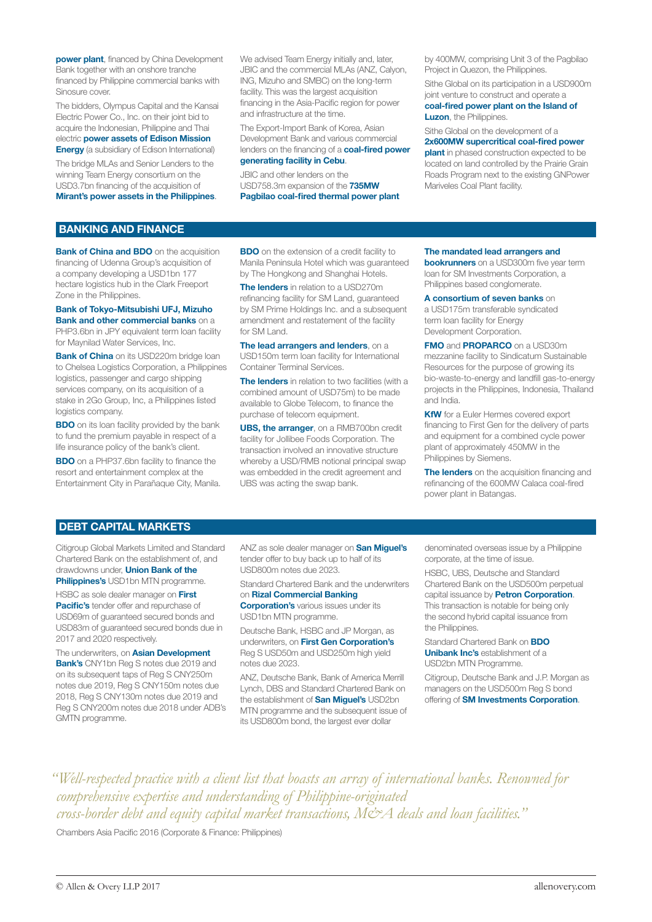**power plant**, financed by China Development Bank together with an onshore tranche financed by Philippine commercial banks with Sinosure cover.

The bidders, Olympus Capital and the Kansai Electric Power Co., Inc. on their joint bid to acquire the Indonesian, Philippine and Thai electric power assets of Edison Mission

**Energy** (a subsidiary of Edison International) The bridge MLAs and Senior Lenders to the winning Team Energy consortium on the USD3.7bn financing of the acquisition of

Mirant's power assets in the Philippines.

We advised Team Energy initially and, later, JBIC and the commercial MLAs (ANZ, Calyon, ING, Mizuho and SMBC) on the long-term facility. This was the largest acquisition financing in the Asia-Pacific region for power and infrastructure at the time.

The Export-Import Bank of Korea, Asian Development Bank and various commercial lenders on the financing of a **coal-fired power** generating facility in Cebu.

JBIC and other lenders on the USD758.3m expansion of the 735MW Pagbilao coal-fired thermal power plant by 400MW, comprising Unit 3 of the Pagbilao Project in Quezon, the Philippines.

Sithe Global on its participation in a USD900m joint venture to construct and operate a

# coal-fired power plant on the Island of Luzon, the Philippines.

Sithe Global on the development of a

2x600MW supercritical coal-fired power **plant** in phased construction expected to be located on land controlled by the Prairie Grain Roads Program next to the existing GNPower Mariveles Coal Plant facility.

# BANKING AND FINANCE

**Bank of China and BDO** on the acquisition financing of Udenna Group's acquisition of a company developing a USD1bn 177 hectare logistics hub in the Clark Freeport Zone in the Philippines.

# Bank of Tokyo-Mitsubishi UFJ, Mizuho Bank and other commercial banks on a

PHP3.6bn in JPY equivalent term loan facility for Maynilad Water Services, Inc.

**Bank of China** on its USD220m bridge loan to Chelsea Logistics Corporation, a Philippines logistics, passenger and cargo shipping services company, on its acquisition of a stake in 2Go Group, Inc, a Philippines listed logistics company.

**BDO** on its loan facility provided by the bank to fund the premium payable in respect of a life insurance policy of the bank's client.

**BDO** on a PHP37.6bn facility to finance the resort and entertainment complex at the Entertainment City in Parañaque City, Manila.

**BDO** on the extension of a credit facility to Manila Peninsula Hotel which was guaranteed by The Hongkong and Shanghai Hotels.

The lenders in relation to a USD270m refinancing facility for SM Land, guaranteed by SM Prime Holdings Inc. and a subsequent amendment and restatement of the facility for SM Land.

The lead arrangers and lenders, on a USD150m term loan facility for International Container Terminal Services.

The lenders in relation to two facilities (with a combined amount of USD75m) to be made available to Globe Telecom, to finance the purchase of telecom equipment.

UBS, the arranger, on a RMB700bn credit facility for Jollibee Foods Corporation. The transaction involved an innovative structure whereby a USD/RMB notional principal swap was embedded in the credit agreement and UBS was acting the swap bank.

## The mandated lead arrangers and

**bookrunners** on a USD300m five year term loan for SM Investments Corporation, a Philippines based conglomerate.

# A consortium of seven banks on

a USD175m transferable syndicated term loan facility for Energy Development Corporation.

**FMO and PROPARCO on a USD30m** mezzanine facility to Sindicatum Sustainable Resources for the purpose of growing its bio-waste-to-energy and landfill gas-to-energy projects in the Philippines, Indonesia, Thailand and India.

**KfW** for a Euler Hermes covered export financing to First Gen for the delivery of parts and equipment for a combined cycle power plant of approximately 450MW in the Philippines by Siemens.

The lenders on the acquisition financing and refinancing of the 600MW Calaca coal-fired power plant in Batangas.

# DEBT CAPITAL MARKETS

Citigroup Global Markets Limited and Standard Chartered Bank on the establishment of, and drawdowns under, Union Bank of the **Philippines's USD1bn MTN programme.** 

HSBC as sole dealer manager on First Pacific's tender offer and repurchase of USD69m of guaranteed secured bonds and USD83m of guaranteed secured bonds due in 2017 and 2020 respectively.

The underwriters, on **Asian Development Bank's** CNY1bn Reg S notes due 2019 and on its subsequent taps of Reg S CNY250m notes due 2019, Reg S CNY150m notes due 2018, Reg S CNY130m notes due 2019 and Reg S CNY200m notes due 2018 under ADB's GMTN programme.

ANZ as sole dealer manager on **San Miguel's** tender offer to buy back up to half of its USD800m notes due 2023.

Standard Chartered Bank and the underwriters on Rizal Commercial Banking

**Corporation's** various issues under its

USD1bn MTN programme. Deutsche Bank, HSBC and JP Morgan, as underwriters, on First Gen Corporation's Reg S USD50m and USD250m high yield

notes due 2023. ANZ, Deutsche Bank, Bank of America Merrill Lynch, DBS and Standard Chartered Bank on the establishment of **San Miguel's** USD2bn MTN programme and the subsequent issue of

its USD800m bond, the largest ever dollar

denominated overseas issue by a Philippine corporate, at the time of issue.

HSBC, UBS, Deutsche and Standard Chartered Bank on the USD500m perpetual capital issuance by **Petron Corporation**. This transaction is notable for being only the second hybrid capital issuance from the Philippines.

Standard Chartered Bank on BDO Unibank Inc's establishment of a USD2bn MTN Programme.

Citigroup, Deutsche Bank and J.P. Morgan as managers on the USD500m Reg S bond offering of SM Investments Corporation.

*"Well-respected practice with a client list that boasts an array of international banks. Renowned for comprehensive expertise and understanding of Philippine-originated cross-border debt and equity capital market transactions, M&A deals and loan facilities."*

Chambers Asia Pacific 2016 (Corporate & Finance: Philippines)